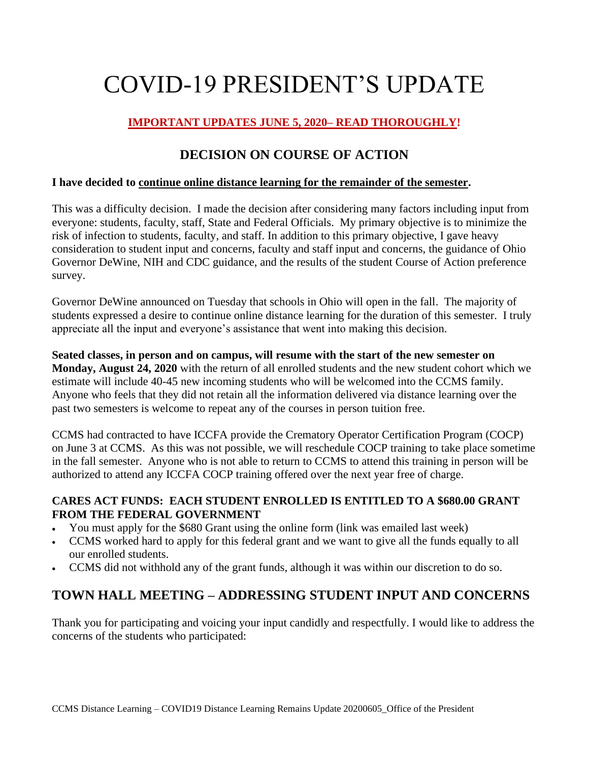# COVID-19 PRESIDENT'S UPDATE

# **IMPORTANT UPDATES JUNE 5, 2020– READ THOROUGHLY!**

# **DECISION ON COURSE OF ACTION**

## **I have decided to continue online distance learning for the remainder of the semester.**

This was a difficulty decision. I made the decision after considering many factors including input from everyone: students, faculty, staff, State and Federal Officials. My primary objective is to minimize the risk of infection to students, faculty, and staff. In addition to this primary objective, I gave heavy consideration to student input and concerns, faculty and staff input and concerns, the guidance of Ohio Governor DeWine, NIH and CDC guidance, and the results of the student Course of Action preference survey.

Governor DeWine announced on Tuesday that schools in Ohio will open in the fall. The majority of students expressed a desire to continue online distance learning for the duration of this semester. I truly appreciate all the input and everyone's assistance that went into making this decision.

**Seated classes, in person and on campus, will resume with the start of the new semester on Monday, August 24, 2020** with the return of all enrolled students and the new student cohort which we estimate will include 40-45 new incoming students who will be welcomed into the CCMS family. Anyone who feels that they did not retain all the information delivered via distance learning over the past two semesters is welcome to repeat any of the courses in person tuition free.

CCMS had contracted to have ICCFA provide the Crematory Operator Certification Program (COCP) on June 3 at CCMS. As this was not possible, we will reschedule COCP training to take place sometime in the fall semester. Anyone who is not able to return to CCMS to attend this training in person will be authorized to attend any ICCFA COCP training offered over the next year free of charge.

## **CARES ACT FUNDS: EACH STUDENT ENROLLED IS ENTITLED TO A \$680.00 GRANT FROM THE FEDERAL GOVERNMENT**

- You must apply for the \$680 Grant using the online form (link was emailed last week)
- CCMS worked hard to apply for this federal grant and we want to give all the funds equally to all our enrolled students.
- CCMS did not withhold any of the grant funds, although it was within our discretion to do so.

# **TOWN HALL MEETING – ADDRESSING STUDENT INPUT AND CONCERNS**

Thank you for participating and voicing your input candidly and respectfully. I would like to address the concerns of the students who participated: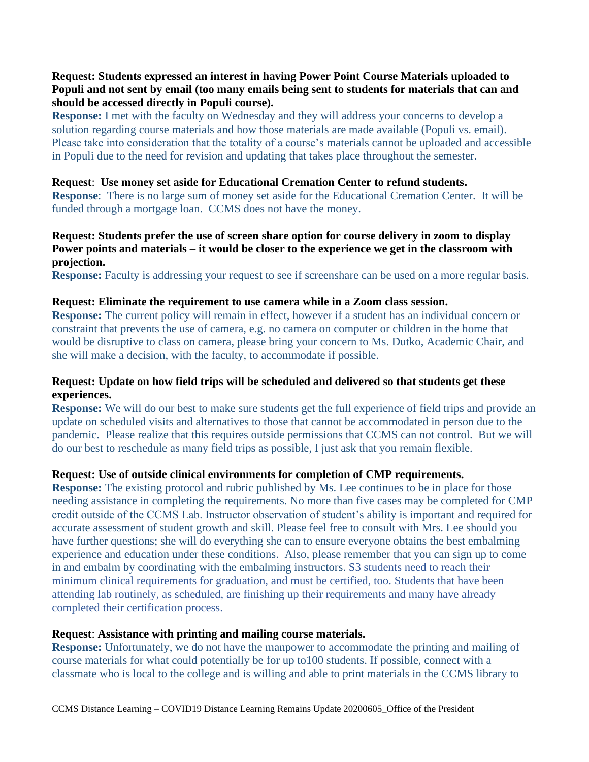## **Request: Students expressed an interest in having Power Point Course Materials uploaded to Populi and not sent by email (too many emails being sent to students for materials that can and should be accessed directly in Populi course).**

**Response:** I met with the faculty on Wednesday and they will address your concerns to develop a solution regarding course materials and how those materials are made available (Populi vs. email). Please take into consideration that the totality of a course's materials cannot be uploaded and accessible in Populi due to the need for revision and updating that takes place throughout the semester.

#### **Request**: **Use money set aside for Educational Cremation Center to refund students.**

**Response**: There is no large sum of money set aside for the Educational Cremation Center. It will be funded through a mortgage loan. CCMS does not have the money.

#### **Request: Students prefer the use of screen share option for course delivery in zoom to display Power points and materials – it would be closer to the experience we get in the classroom with projection.**

**Response:** Faculty is addressing your request to see if screenshare can be used on a more regular basis.

#### **Request: Eliminate the requirement to use camera while in a Zoom class session.**

**Response:** The current policy will remain in effect, however if a student has an individual concern or constraint that prevents the use of camera, e.g. no camera on computer or children in the home that would be disruptive to class on camera, please bring your concern to Ms. Dutko, Academic Chair, and she will make a decision, with the faculty, to accommodate if possible.

### **Request: Update on how field trips will be scheduled and delivered so that students get these experiences.**

**Response:** We will do our best to make sure students get the full experience of field trips and provide an update on scheduled visits and alternatives to those that cannot be accommodated in person due to the pandemic. Please realize that this requires outside permissions that CCMS can not control. But we will do our best to reschedule as many field trips as possible, I just ask that you remain flexible.

#### **Request: Use of outside clinical environments for completion of CMP requirements.**

**Response:** The existing protocol and rubric published by Ms. Lee continues to be in place for those needing assistance in completing the requirements. No more than five cases may be completed for CMP credit outside of the CCMS Lab. Instructor observation of student's ability is important and required for accurate assessment of student growth and skill. Please feel free to consult with Mrs. Lee should you have further questions; she will do everything she can to ensure everyone obtains the best embalming experience and education under these conditions. Also, please remember that you can sign up to come in and embalm by coordinating with the embalming instructors. S3 students need to reach their minimum clinical requirements for graduation, and must be certified, too. Students that have been attending lab routinely, as scheduled, are finishing up their requirements and many have already completed their certification process.

#### **Request**: **Assistance with printing and mailing course materials.**

**Response:** Unfortunately, we do not have the manpower to accommodate the printing and mailing of course materials for what could potentially be for up to100 students. If possible, connect with a classmate who is local to the college and is willing and able to print materials in the CCMS library to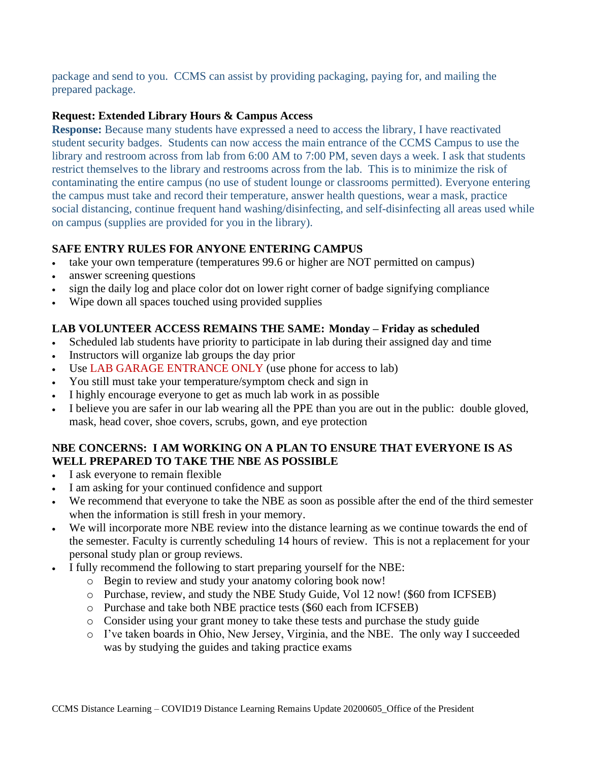package and send to you. CCMS can assist by providing packaging, paying for, and mailing the prepared package.

## **Request: Extended Library Hours & Campus Access**

**Response:** Because many students have expressed a need to access the library, I have reactivated student security badges. Students can now access the main entrance of the CCMS Campus to use the library and restroom across from lab from 6:00 AM to 7:00 PM, seven days a week. I ask that students restrict themselves to the library and restrooms across from the lab. This is to minimize the risk of contaminating the entire campus (no use of student lounge or classrooms permitted). Everyone entering the campus must take and record their temperature, answer health questions, wear a mask, practice social distancing, continue frequent hand washing/disinfecting, and self-disinfecting all areas used while on campus (supplies are provided for you in the library).

## **SAFE ENTRY RULES FOR ANYONE ENTERING CAMPUS**

- take your own temperature (temperatures 99.6 or higher are NOT permitted on campus)
- answer screening questions
- sign the daily log and place color dot on lower right corner of badge signifying compliance
- Wipe down all spaces touched using provided supplies

## **LAB VOLUNTEER ACCESS REMAINS THE SAME: Monday – Friday as scheduled**

- Scheduled lab students have priority to participate in lab during their assigned day and time
- Instructors will organize lab groups the day prior
- Use LAB GARAGE ENTRANCE ONLY (use phone for access to lab)
- You still must take your temperature/symptom check and sign in
- I highly encourage everyone to get as much lab work in as possible
- I believe you are safer in our lab wearing all the PPE than you are out in the public: double gloved, mask, head cover, shoe covers, scrubs, gown, and eye protection

## **NBE CONCERNS: I AM WORKING ON A PLAN TO ENSURE THAT EVERYONE IS AS WELL PREPARED TO TAKE THE NBE AS POSSIBLE**

- I ask everyone to remain flexible
- I am asking for your continued confidence and support
- We recommend that everyone to take the NBE as soon as possible after the end of the third semester when the information is still fresh in your memory.
- We will incorporate more NBE review into the distance learning as we continue towards the end of the semester. Faculty is currently scheduling 14 hours of review. This is not a replacement for your personal study plan or group reviews.
- I fully recommend the following to start preparing yourself for the NBE:
	- o Begin to review and study your anatomy coloring book now!
	- o Purchase, review, and study the NBE Study Guide, Vol 12 now! (\$60 from ICFSEB)
	- o Purchase and take both NBE practice tests (\$60 each from ICFSEB)
	- o Consider using your grant money to take these tests and purchase the study guide
	- o I've taken boards in Ohio, New Jersey, Virginia, and the NBE. The only way I succeeded was by studying the guides and taking practice exams